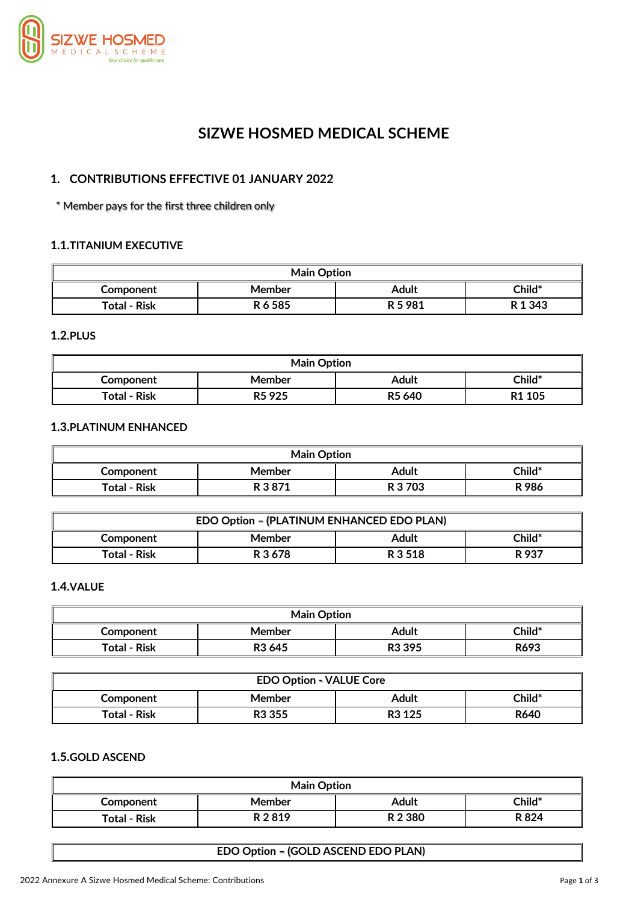

# **SIZWE HOSMED MEDICAL SCHEME**

## **1. CONTRIBUTIONS EFFECTIVE 01 JANUARY 2022**

\* Member pays for the first three children only

## **1.1.TITANIUM EXECUTIVE**

| <b>Main Option</b>  |         |                   |           |
|---------------------|---------|-------------------|-----------|
| Component           | Member  | Adult             | $Child^*$ |
| <b>Total - Risk</b> | R 6 585 | R <sub>5981</sub> | R 1 3 4 3 |

**1.2.PLUS**

| <b>Main Option</b>                                                                    |        |       |        |  |
|---------------------------------------------------------------------------------------|--------|-------|--------|--|
| Component                                                                             | Member | Adult | Child* |  |
| <b>Total - Risk</b><br>R <sub>1</sub> 105<br>R <sub>5</sub> 925<br>R <sub>5</sub> 640 |        |       |        |  |

#### **1.3.PLATINUM ENHANCED**

| <b>Main Option</b>  |        |         |        |
|---------------------|--------|---------|--------|
| Component           | Member | Adult   | Child* |
| <b>Total - Risk</b> | R 3871 | R 3 703 | R 986  |

| EDO Option - (PLATINUM ENHANCED EDO PLAN)           |  |  |  |  |
|-----------------------------------------------------|--|--|--|--|
| Child*<br>Adult<br>Member<br>Component              |  |  |  |  |
| R 3 678<br>R 3 5 1 8<br><b>Total - Risk</b><br>R937 |  |  |  |  |

### **1.4.VALUE**

| <b>Main Option</b> |                    |                    |        |
|--------------------|--------------------|--------------------|--------|
| Component          | <b>Member</b>      | Adult              | Child* |
| Total - Risk       | R <sub>3</sub> 645 | R <sub>3</sub> 395 | R693   |

| <b>EDO Option - VALUE Core</b>                                          |               |       |        |  |
|-------------------------------------------------------------------------|---------------|-------|--------|--|
| Component                                                               | <b>Member</b> | Adult | Child* |  |
| <b>Total - Risk</b><br>R640<br>R <sub>3</sub> 125<br>R <sub>3</sub> 355 |               |       |        |  |

## **1.5.GOLD ASCEND**

| <b>Main Option</b>                          |        |       |               |  |
|---------------------------------------------|--------|-------|---------------|--|
| Component                                   | Member | Adult | <b>Child*</b> |  |
| R 2 3 8 0<br>R824<br>R 2819<br>Total - Risk |        |       |               |  |

#### **EDO Option – (GOLD ASCEND EDO PLAN)**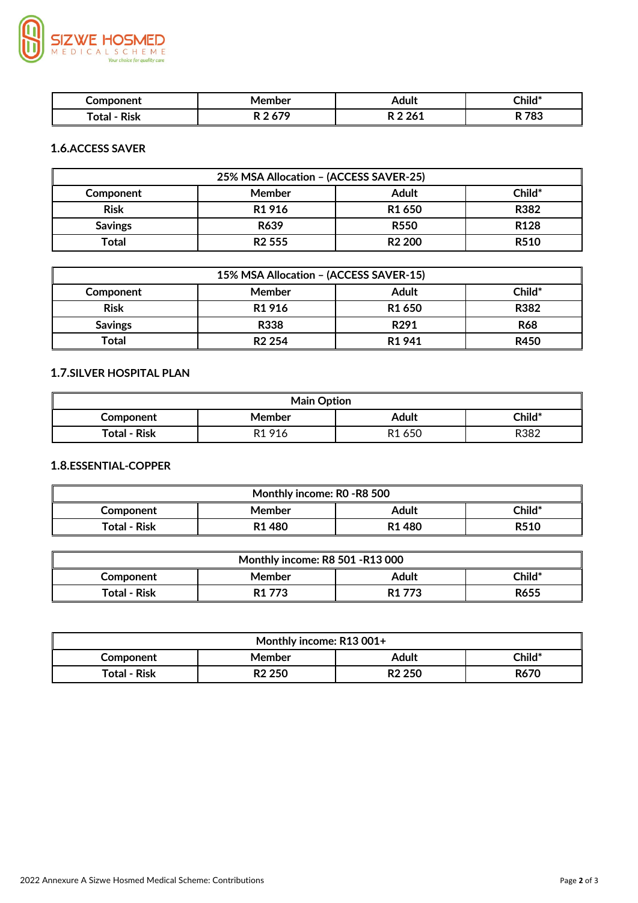

| omnonent             | ember | Adult | Child*    |
|----------------------|-------|-------|-----------|
|                      |       |       |           |
| <b>Risk</b><br>`otal | , , , | 0.014 | 702<br>u. |

## **1.6.ACCESS SAVER**

| 25% MSA Allocation - (ACCESS SAVER-25) |                    |                    |                  |
|----------------------------------------|--------------------|--------------------|------------------|
| Component                              | Member             | <b>Adult</b>       | Child*           |
| <b>Risk</b>                            | R <sub>1916</sub>  | R <sub>1</sub> 650 | R382             |
| <b>Savings</b>                         | R639               | <b>R550</b>        | R <sub>128</sub> |
| Total                                  | R <sub>2</sub> 555 | R <sub>2</sub> 200 | <b>R510</b>      |

| 15% MSA Allocation - (ACCESS SAVER-15) |                    |                    |             |
|----------------------------------------|--------------------|--------------------|-------------|
| Component                              | <b>Member</b>      | <b>Adult</b>       | Child*      |
| <b>Risk</b>                            | R <sub>1</sub> 916 | R <sub>1</sub> 650 | R382        |
| <b>Savings</b>                         | <b>R338</b>        | R <sub>291</sub>   | <b>R68</b>  |
| Total                                  | R <sub>2</sub> 254 | R <sub>1</sub> 941 | <b>R450</b> |

## **1.7.SILVER HOSPITAL PLAN**

| <b>Main Option</b>  |                    |                    |        |
|---------------------|--------------------|--------------------|--------|
| Component           | Member             | Adult              | Child* |
| <b>Total - Risk</b> | R <sub>1</sub> 916 | R <sub>1</sub> 650 | R382   |

## **1.8.ESSENTIAL-COPPER**

| Monthly income: R0 -R8 500                                                     |  |  |  |  |  |
|--------------------------------------------------------------------------------|--|--|--|--|--|
| Child*<br><b>Adult</b><br>Member<br>Component                                  |  |  |  |  |  |
| <b>Total - Risk</b><br>R <sub>1</sub> 480<br>R <sub>1</sub> 480<br><b>R510</b> |  |  |  |  |  |

| <b>Monthly income: R8 501 -R13 000</b> |                    |                    |        |  |
|----------------------------------------|--------------------|--------------------|--------|--|
| Component                              | Member             | Adult              | Child* |  |
| Total - Risk                           | R <sub>1</sub> 773 | R <sub>1</sub> 773 | R655   |  |

| Monthly income: R13 001+ |                    |                    |             |  |
|--------------------------|--------------------|--------------------|-------------|--|
| <b>Component</b>         | Member             | Adult              | Child*      |  |
| <b>Total - Risk</b>      | R <sub>2</sub> 250 | R <sub>2</sub> 250 | <b>R670</b> |  |